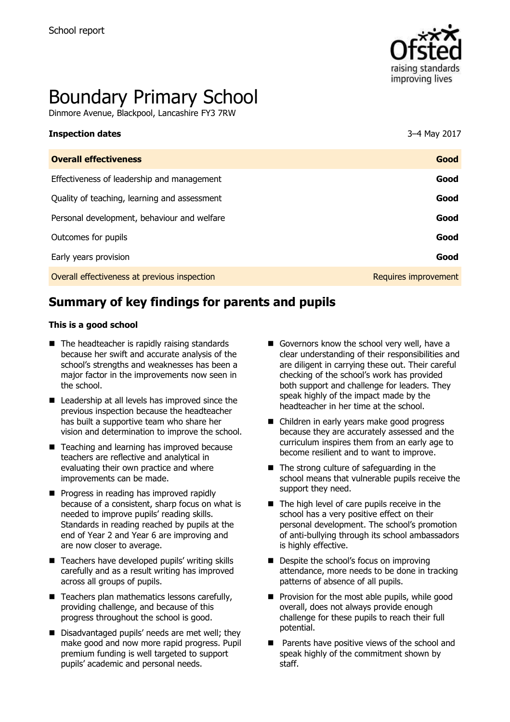

# Boundary Primary School

Dinmore Avenue, Blackpool, Lancashire FY3 7RW

| <b>Inspection dates</b>                      | 3-4 May 2017         |
|----------------------------------------------|----------------------|
| <b>Overall effectiveness</b>                 | Good                 |
| Effectiveness of leadership and management   | Good                 |
| Quality of teaching, learning and assessment | Good                 |
| Personal development, behaviour and welfare  | Good                 |
| Outcomes for pupils                          | Good                 |
| Early years provision                        | Good                 |
| Overall effectiveness at previous inspection | Requires improvement |
|                                              |                      |

# **Summary of key findings for parents and pupils**

#### **This is a good school**

- $\blacksquare$  The headteacher is rapidly raising standards because her swift and accurate analysis of the school's strengths and weaknesses has been a major factor in the improvements now seen in the school.
- Leadership at all levels has improved since the previous inspection because the headteacher has built a supportive team who share her vision and determination to improve the school.
- Teaching and learning has improved because teachers are reflective and analytical in evaluating their own practice and where improvements can be made.
- **Progress in reading has improved rapidly** because of a consistent, sharp focus on what is needed to improve pupils' reading skills. Standards in reading reached by pupils at the end of Year 2 and Year 6 are improving and are now closer to average.
- Teachers have developed pupils' writing skills carefully and as a result writing has improved across all groups of pupils.
- $\blacksquare$  Teachers plan mathematics lessons carefully, providing challenge, and because of this progress throughout the school is good.
- Disadvantaged pupils' needs are met well; they make good and now more rapid progress. Pupil premium funding is well targeted to support pupils' academic and personal needs.
- Governors know the school very well, have a clear understanding of their responsibilities and are diligent in carrying these out. Their careful checking of the school's work has provided both support and challenge for leaders. They speak highly of the impact made by the headteacher in her time at the school.
- Children in early years make good progress because they are accurately assessed and the curriculum inspires them from an early age to become resilient and to want to improve.
- The strong culture of safeguarding in the school means that vulnerable pupils receive the support they need.
- $\blacksquare$  The high level of care pupils receive in the school has a very positive effect on their personal development. The school's promotion of anti-bullying through its school ambassadors is highly effective.
- Despite the school's focus on improving attendance, more needs to be done in tracking patterns of absence of all pupils.
- $\blacksquare$  Provision for the most able pupils, while good overall, does not always provide enough challenge for these pupils to reach their full potential.
- **Parents have positive views of the school and** speak highly of the commitment shown by staff.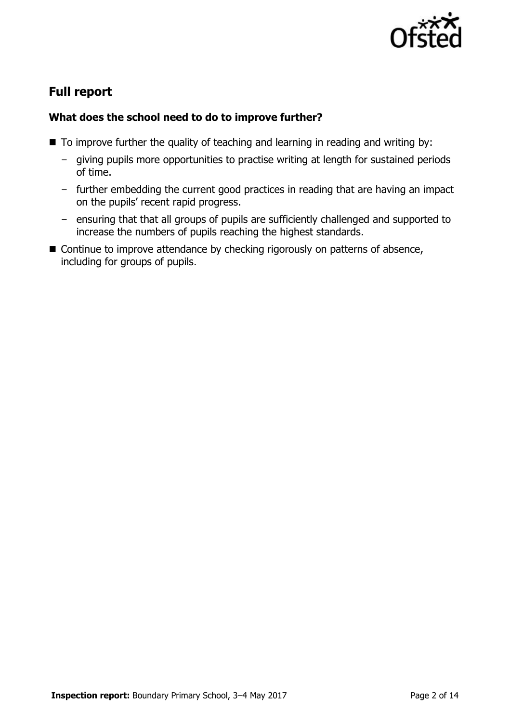

# **Full report**

#### **What does the school need to do to improve further?**

- $\blacksquare$  To improve further the quality of teaching and learning in reading and writing by:
	- giving pupils more opportunities to practise writing at length for sustained periods of time.
	- further embedding the current good practices in reading that are having an impact on the pupils' recent rapid progress.
	- ensuring that that all groups of pupils are sufficiently challenged and supported to increase the numbers of pupils reaching the highest standards.
- Continue to improve attendance by checking rigorously on patterns of absence, including for groups of pupils.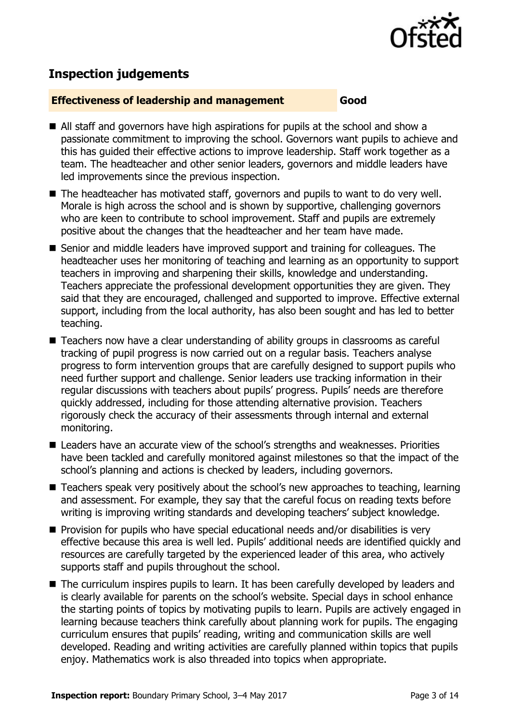

## **Inspection judgements**

#### **Effectiveness of leadership and management Good**

- All staff and governors have high aspirations for pupils at the school and show a passionate commitment to improving the school. Governors want pupils to achieve and this has guided their effective actions to improve leadership. Staff work together as a team. The headteacher and other senior leaders, governors and middle leaders have led improvements since the previous inspection.
- The headteacher has motivated staff, governors and pupils to want to do very well. Morale is high across the school and is shown by supportive, challenging governors who are keen to contribute to school improvement. Staff and pupils are extremely positive about the changes that the headteacher and her team have made.
- Senior and middle leaders have improved support and training for colleagues. The headteacher uses her monitoring of teaching and learning as an opportunity to support teachers in improving and sharpening their skills, knowledge and understanding. Teachers appreciate the professional development opportunities they are given. They said that they are encouraged, challenged and supported to improve. Effective external support, including from the local authority, has also been sought and has led to better teaching.
- Teachers now have a clear understanding of ability groups in classrooms as careful tracking of pupil progress is now carried out on a regular basis. Teachers analyse progress to form intervention groups that are carefully designed to support pupils who need further support and challenge. Senior leaders use tracking information in their regular discussions with teachers about pupils' progress. Pupils' needs are therefore quickly addressed, including for those attending alternative provision. Teachers rigorously check the accuracy of their assessments through internal and external monitoring.
- Leaders have an accurate view of the school's strengths and weaknesses. Priorities have been tackled and carefully monitored against milestones so that the impact of the school's planning and actions is checked by leaders, including governors.
- Teachers speak very positively about the school's new approaches to teaching, learning and assessment. For example, they say that the careful focus on reading texts before writing is improving writing standards and developing teachers' subject knowledge.
- **Provision for pupils who have special educational needs and/or disabilities is very** effective because this area is well led. Pupils' additional needs are identified quickly and resources are carefully targeted by the experienced leader of this area, who actively supports staff and pupils throughout the school.
- The curriculum inspires pupils to learn. It has been carefully developed by leaders and is clearly available for parents on the school's website. Special days in school enhance the starting points of topics by motivating pupils to learn. Pupils are actively engaged in learning because teachers think carefully about planning work for pupils. The engaging curriculum ensures that pupils' reading, writing and communication skills are well developed. Reading and writing activities are carefully planned within topics that pupils enjoy. Mathematics work is also threaded into topics when appropriate.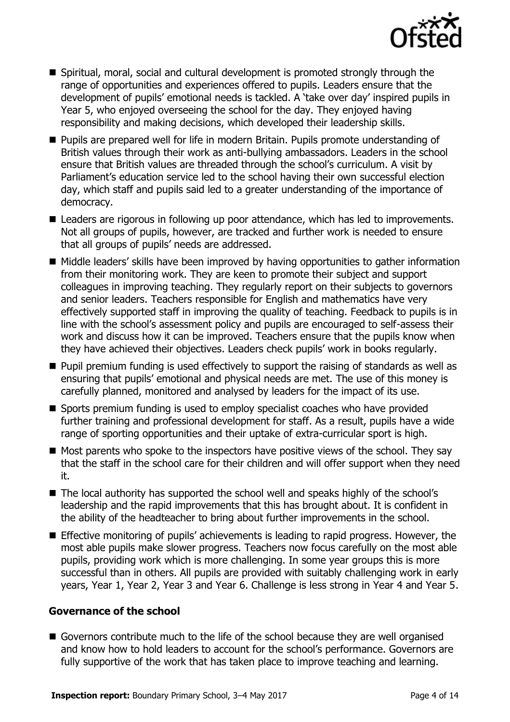

- Spiritual, moral, social and cultural development is promoted strongly through the range of opportunities and experiences offered to pupils. Leaders ensure that the development of pupils' emotional needs is tackled. A 'take over day' inspired pupils in Year 5, who enjoyed overseeing the school for the day. They enjoyed having responsibility and making decisions, which developed their leadership skills.
- **Pupils are prepared well for life in modern Britain. Pupils promote understanding of** British values through their work as anti-bullying ambassadors. Leaders in the school ensure that British values are threaded through the school's curriculum. A visit by Parliament's education service led to the school having their own successful election day, which staff and pupils said led to a greater understanding of the importance of democracy.
- Leaders are rigorous in following up poor attendance, which has led to improvements. Not all groups of pupils, however, are tracked and further work is needed to ensure that all groups of pupils' needs are addressed.
- Middle leaders' skills have been improved by having opportunities to gather information from their monitoring work. They are keen to promote their subject and support colleagues in improving teaching. They regularly report on their subjects to governors and senior leaders. Teachers responsible for English and mathematics have very effectively supported staff in improving the quality of teaching. Feedback to pupils is in line with the school's assessment policy and pupils are encouraged to self-assess their work and discuss how it can be improved. Teachers ensure that the pupils know when they have achieved their objectives. Leaders check pupils' work in books regularly.
- **Pupil premium funding is used effectively to support the raising of standards as well as** ensuring that pupils' emotional and physical needs are met. The use of this money is carefully planned, monitored and analysed by leaders for the impact of its use.
- Sports premium funding is used to employ specialist coaches who have provided further training and professional development for staff. As a result, pupils have a wide range of sporting opportunities and their uptake of extra-curricular sport is high.
- $\blacksquare$  Most parents who spoke to the inspectors have positive views of the school. They say that the staff in the school care for their children and will offer support when they need it.
- The local authority has supported the school well and speaks highly of the school's leadership and the rapid improvements that this has brought about. It is confident in the ability of the headteacher to bring about further improvements in the school.
- Effective monitoring of pupils' achievements is leading to rapid progress. However, the most able pupils make slower progress. Teachers now focus carefully on the most able pupils, providing work which is more challenging. In some year groups this is more successful than in others. All pupils are provided with suitably challenging work in early years, Year 1, Year 2, Year 3 and Year 6. Challenge is less strong in Year 4 and Year 5.

#### **Governance of the school**

Governors contribute much to the life of the school because they are well organised and know how to hold leaders to account for the school's performance. Governors are fully supportive of the work that has taken place to improve teaching and learning.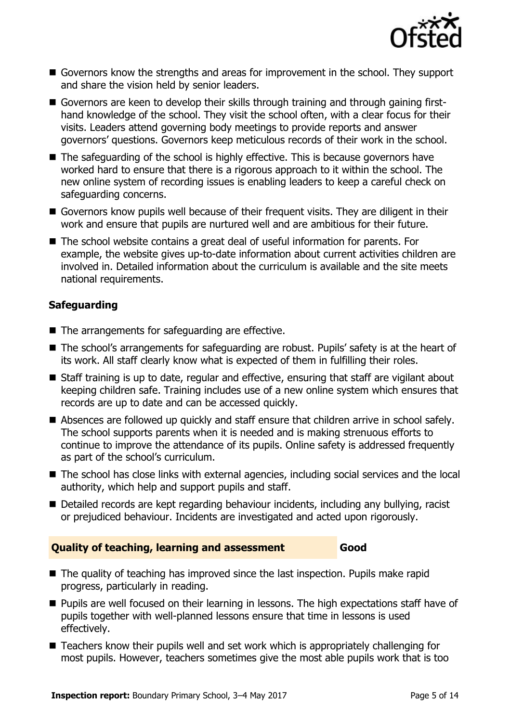

- Governors know the strengths and areas for improvement in the school. They support and share the vision held by senior leaders.
- Governors are keen to develop their skills through training and through gaining firsthand knowledge of the school. They visit the school often, with a clear focus for their visits. Leaders attend governing body meetings to provide reports and answer governors' questions. Governors keep meticulous records of their work in the school.
- The safeguarding of the school is highly effective. This is because governors have worked hard to ensure that there is a rigorous approach to it within the school. The new online system of recording issues is enabling leaders to keep a careful check on safeguarding concerns.
- Governors know pupils well because of their frequent visits. They are diligent in their work and ensure that pupils are nurtured well and are ambitious for their future.
- The school website contains a great deal of useful information for parents. For example, the website gives up-to-date information about current activities children are involved in. Detailed information about the curriculum is available and the site meets national requirements.

#### **Safeguarding**

- $\blacksquare$  The arrangements for safeguarding are effective.
- The school's arrangements for safeguarding are robust. Pupils' safety is at the heart of its work. All staff clearly know what is expected of them in fulfilling their roles.
- Staff training is up to date, regular and effective, ensuring that staff are vigilant about keeping children safe. Training includes use of a new online system which ensures that records are up to date and can be accessed quickly.
- Absences are followed up quickly and staff ensure that children arrive in school safely. The school supports parents when it is needed and is making strenuous efforts to continue to improve the attendance of its pupils. Online safety is addressed frequently as part of the school's curriculum.
- The school has close links with external agencies, including social services and the local authority, which help and support pupils and staff.
- Detailed records are kept regarding behaviour incidents, including any bullying, racist or prejudiced behaviour. Incidents are investigated and acted upon rigorously.

#### **Quality of teaching, learning and assessment Good**

- The quality of teaching has improved since the last inspection. Pupils make rapid progress, particularly in reading.
- **Pupils are well focused on their learning in lessons. The high expectations staff have of** pupils together with well-planned lessons ensure that time in lessons is used effectively.
- Teachers know their pupils well and set work which is appropriately challenging for most pupils. However, teachers sometimes give the most able pupils work that is too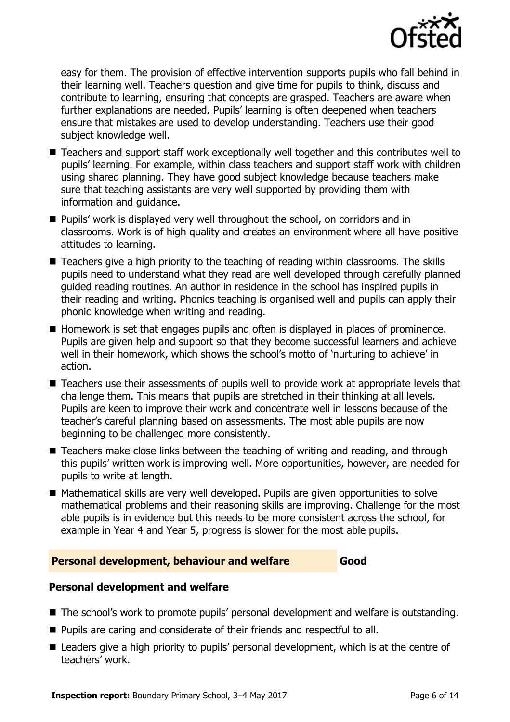

easy for them. The provision of effective intervention supports pupils who fall behind in their learning well. Teachers question and give time for pupils to think, discuss and contribute to learning, ensuring that concepts are grasped. Teachers are aware when further explanations are needed. Pupils' learning is often deepened when teachers ensure that mistakes are used to develop understanding. Teachers use their good subject knowledge well.

- Teachers and support staff work exceptionally well together and this contributes well to pupils' learning. For example, within class teachers and support staff work with children using shared planning. They have good subject knowledge because teachers make sure that teaching assistants are very well supported by providing them with information and guidance.
- **Pupils'** work is displayed very well throughout the school, on corridors and in classrooms. Work is of high quality and creates an environment where all have positive attitudes to learning.
- Teachers give a high priority to the teaching of reading within classrooms. The skills pupils need to understand what they read are well developed through carefully planned guided reading routines. An author in residence in the school has inspired pupils in their reading and writing. Phonics teaching is organised well and pupils can apply their phonic knowledge when writing and reading.
- Homework is set that engages pupils and often is displayed in places of prominence. Pupils are given help and support so that they become successful learners and achieve well in their homework, which shows the school's motto of 'nurturing to achieve' in action.
- Teachers use their assessments of pupils well to provide work at appropriate levels that challenge them. This means that pupils are stretched in their thinking at all levels. Pupils are keen to improve their work and concentrate well in lessons because of the teacher's careful planning based on assessments. The most able pupils are now beginning to be challenged more consistently.
- Teachers make close links between the teaching of writing and reading, and through this pupils' written work is improving well. More opportunities, however, are needed for pupils to write at length.
- Mathematical skills are very well developed. Pupils are given opportunities to solve mathematical problems and their reasoning skills are improving. Challenge for the most able pupils is in evidence but this needs to be more consistent across the school, for example in Year 4 and Year 5, progress is slower for the most able pupils.

#### **Personal development, behaviour and welfare Good Good**

#### **Personal development and welfare**

- The school's work to promote pupils' personal development and welfare is outstanding.
- **Pupils are caring and considerate of their friends and respectful to all.**
- Leaders give a high priority to pupils' personal development, which is at the centre of teachers' work.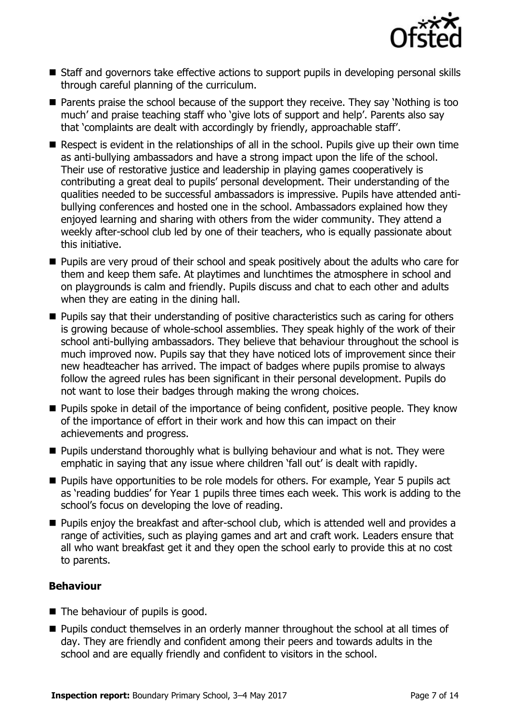

- Staff and governors take effective actions to support pupils in developing personal skills through careful planning of the curriculum.
- **Parents praise the school because of the support they receive. They say 'Nothing is too** much' and praise teaching staff who 'give lots of support and help'. Parents also say that 'complaints are dealt with accordingly by friendly, approachable staff'.
- Respect is evident in the relationships of all in the school. Pupils give up their own time as anti-bullying ambassadors and have a strong impact upon the life of the school. Their use of restorative justice and leadership in playing games cooperatively is contributing a great deal to pupils' personal development. Their understanding of the qualities needed to be successful ambassadors is impressive. Pupils have attended antibullying conferences and hosted one in the school. Ambassadors explained how they enjoyed learning and sharing with others from the wider community. They attend a weekly after-school club led by one of their teachers, who is equally passionate about this initiative.
- **Pupils are very proud of their school and speak positively about the adults who care for** them and keep them safe. At playtimes and lunchtimes the atmosphere in school and on playgrounds is calm and friendly. Pupils discuss and chat to each other and adults when they are eating in the dining hall.
- **Pupils say that their understanding of positive characteristics such as caring for others** is growing because of whole-school assemblies. They speak highly of the work of their school anti-bullying ambassadors. They believe that behaviour throughout the school is much improved now. Pupils say that they have noticed lots of improvement since their new headteacher has arrived. The impact of badges where pupils promise to always follow the agreed rules has been significant in their personal development. Pupils do not want to lose their badges through making the wrong choices.
- **Pupils spoke in detail of the importance of being confident, positive people. They know** of the importance of effort in their work and how this can impact on their achievements and progress.
- $\blacksquare$  Pupils understand thoroughly what is bullying behaviour and what is not. They were emphatic in saying that any issue where children 'fall out' is dealt with rapidly.
- **Pupils have opportunities to be role models for others. For example, Year 5 pupils act** as 'reading buddies' for Year 1 pupils three times each week. This work is adding to the school's focus on developing the love of reading.
- **Pupils enjoy the breakfast and after-school club, which is attended well and provides a** range of activities, such as playing games and art and craft work. Leaders ensure that all who want breakfast get it and they open the school early to provide this at no cost to parents.

### **Behaviour**

- The behaviour of pupils is good.
- **Pupils conduct themselves in an orderly manner throughout the school at all times of** day. They are friendly and confident among their peers and towards adults in the school and are equally friendly and confident to visitors in the school.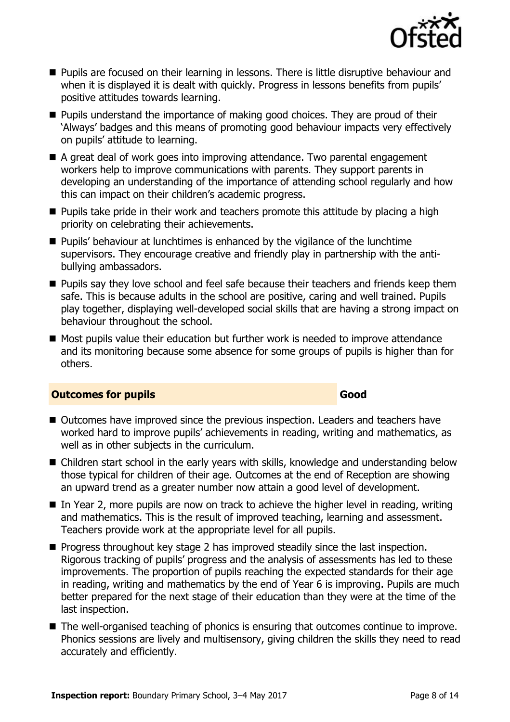

- **Pupils are focused on their learning in lessons. There is little disruptive behaviour and** when it is displayed it is dealt with quickly. Progress in lessons benefits from pupils' positive attitudes towards learning.
- **Pupils understand the importance of making good choices. They are proud of their** 'Always' badges and this means of promoting good behaviour impacts very effectively on pupils' attitude to learning.
- A great deal of work goes into improving attendance. Two parental engagement workers help to improve communications with parents. They support parents in developing an understanding of the importance of attending school regularly and how this can impact on their children's academic progress.
- **Pupils take pride in their work and teachers promote this attitude by placing a high** priority on celebrating their achievements.
- **Pupils' behaviour at lunchtimes is enhanced by the vigilance of the lunchtime** supervisors. They encourage creative and friendly play in partnership with the antibullying ambassadors.
- **Pupils say they love school and feel safe because their teachers and friends keep them** safe. This is because adults in the school are positive, caring and well trained. Pupils play together, displaying well-developed social skills that are having a strong impact on behaviour throughout the school.
- Most pupils value their education but further work is needed to improve attendance and its monitoring because some absence for some groups of pupils is higher than for others.

#### **Outcomes for pupils Good and Science Community Cood**

#### ■ Outcomes have improved since the previous inspection. Leaders and teachers have worked hard to improve pupils' achievements in reading, writing and mathematics, as well as in other subjects in the curriculum.

- Children start school in the early years with skills, knowledge and understanding below those typical for children of their age. Outcomes at the end of Reception are showing an upward trend as a greater number now attain a good level of development.
- In Year 2, more pupils are now on track to achieve the higher level in reading, writing and mathematics. This is the result of improved teaching, learning and assessment. Teachers provide work at the appropriate level for all pupils.
- $\blacksquare$  Progress throughout key stage 2 has improved steadily since the last inspection. Rigorous tracking of pupils' progress and the analysis of assessments has led to these improvements. The proportion of pupils reaching the expected standards for their age in reading, writing and mathematics by the end of Year 6 is improving. Pupils are much better prepared for the next stage of their education than they were at the time of the last inspection.
- The well-organised teaching of phonics is ensuring that outcomes continue to improve. Phonics sessions are lively and multisensory, giving children the skills they need to read accurately and efficiently.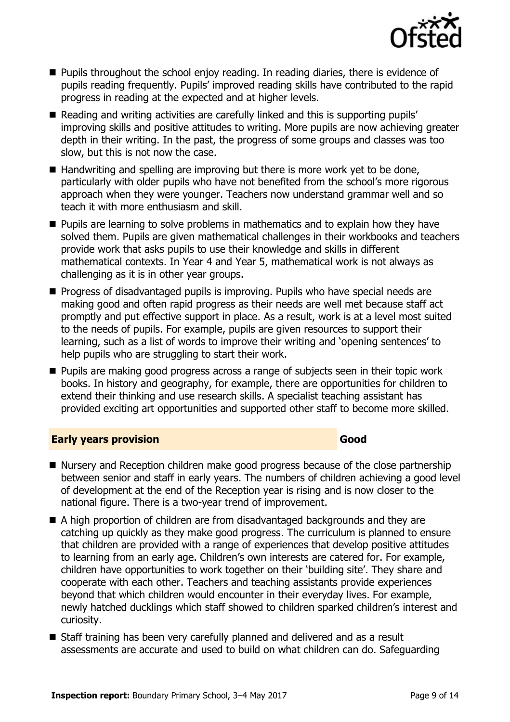

- **Pupils throughout the school enjoy reading. In reading diaries, there is evidence of** pupils reading frequently. Pupils' improved reading skills have contributed to the rapid progress in reading at the expected and at higher levels.
- Reading and writing activities are carefully linked and this is supporting pupils' improving skills and positive attitudes to writing. More pupils are now achieving greater depth in their writing. In the past, the progress of some groups and classes was too slow, but this is not now the case.
- $\blacksquare$  Handwriting and spelling are improving but there is more work yet to be done, particularly with older pupils who have not benefited from the school's more rigorous approach when they were younger. Teachers now understand grammar well and so teach it with more enthusiasm and skill.
- **Pupils are learning to solve problems in mathematics and to explain how they have** solved them. Pupils are given mathematical challenges in their workbooks and teachers provide work that asks pupils to use their knowledge and skills in different mathematical contexts. In Year 4 and Year 5, mathematical work is not always as challenging as it is in other year groups.
- **Progress of disadvantaged pupils is improving. Pupils who have special needs are** making good and often rapid progress as their needs are well met because staff act promptly and put effective support in place. As a result, work is at a level most suited to the needs of pupils. For example, pupils are given resources to support their learning, such as a list of words to improve their writing and 'opening sentences' to help pupils who are struggling to start their work.
- **Pupils are making good progress across a range of subjects seen in their topic work** books. In history and geography, for example, there are opportunities for children to extend their thinking and use research skills. A specialist teaching assistant has provided exciting art opportunities and supported other staff to become more skilled.

#### **Early years provision Good Access 2008**

- Nursery and Reception children make good progress because of the close partnership between senior and staff in early years. The numbers of children achieving a good level of development at the end of the Reception year is rising and is now closer to the national figure. There is a two-year trend of improvement.
- A high proportion of children are from disadvantaged backgrounds and they are catching up quickly as they make good progress. The curriculum is planned to ensure that children are provided with a range of experiences that develop positive attitudes to learning from an early age. Children's own interests are catered for. For example, children have opportunities to work together on their 'building site'. They share and cooperate with each other. Teachers and teaching assistants provide experiences beyond that which children would encounter in their everyday lives. For example, newly hatched ducklings which staff showed to children sparked children's interest and curiosity.
- Staff training has been very carefully planned and delivered and as a result assessments are accurate and used to build on what children can do. Safeguarding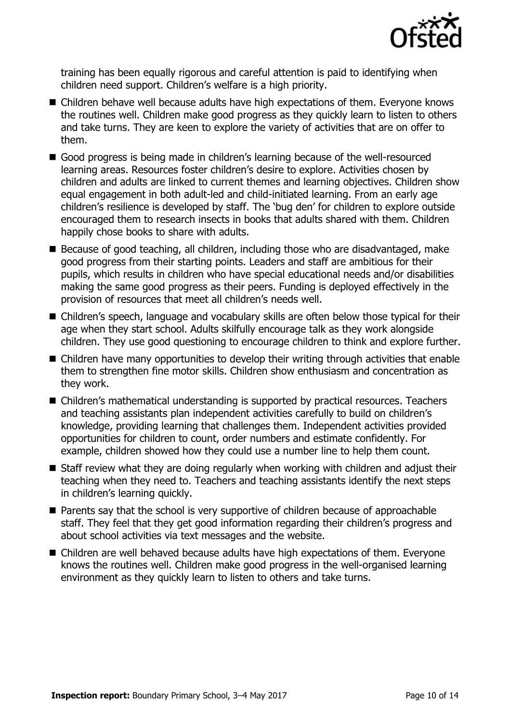

training has been equally rigorous and careful attention is paid to identifying when children need support. Children's welfare is a high priority.

- Children behave well because adults have high expectations of them. Everyone knows the routines well. Children make good progress as they quickly learn to listen to others and take turns. They are keen to explore the variety of activities that are on offer to them.
- Good progress is being made in children's learning because of the well-resourced learning areas. Resources foster children's desire to explore. Activities chosen by children and adults are linked to current themes and learning objectives. Children show equal engagement in both adult-led and child-initiated learning. From an early age children's resilience is developed by staff. The 'bug den' for children to explore outside encouraged them to research insects in books that adults shared with them. Children happily chose books to share with adults.
- Because of good teaching, all children, including those who are disadvantaged, make good progress from their starting points. Leaders and staff are ambitious for their pupils, which results in children who have special educational needs and/or disabilities making the same good progress as their peers. Funding is deployed effectively in the provision of resources that meet all children's needs well.
- Children's speech, language and vocabulary skills are often below those typical for their age when they start school. Adults skilfully encourage talk as they work alongside children. They use good questioning to encourage children to think and explore further.
- Children have many opportunities to develop their writing through activities that enable them to strengthen fine motor skills. Children show enthusiasm and concentration as they work.
- Children's mathematical understanding is supported by practical resources. Teachers and teaching assistants plan independent activities carefully to build on children's knowledge, providing learning that challenges them. Independent activities provided opportunities for children to count, order numbers and estimate confidently. For example, children showed how they could use a number line to help them count.
- Staff review what they are doing regularly when working with children and adjust their teaching when they need to. Teachers and teaching assistants identify the next steps in children's learning quickly.
- **Parents say that the school is very supportive of children because of approachable** staff. They feel that they get good information regarding their children's progress and about school activities via text messages and the website.
- Children are well behaved because adults have high expectations of them. Everyone knows the routines well. Children make good progress in the well-organised learning environment as they quickly learn to listen to others and take turns.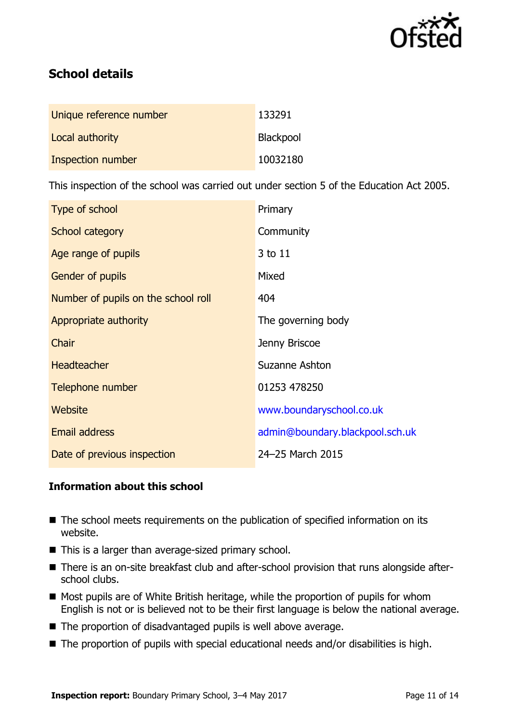

# **School details**

| Unique reference number | 133291    |
|-------------------------|-----------|
| Local authority         | Blackpool |
| Inspection number       | 10032180  |

This inspection of the school was carried out under section 5 of the Education Act 2005.

| Type of school                      | Primary                         |
|-------------------------------------|---------------------------------|
| School category                     | Community                       |
| Age range of pupils                 | 3 to 11                         |
| <b>Gender of pupils</b>             | Mixed                           |
| Number of pupils on the school roll | 404                             |
| Appropriate authority               | The governing body              |
| Chair                               | Jenny Briscoe                   |
| <b>Headteacher</b>                  | Suzanne Ashton                  |
| Telephone number                    | 01253 478250                    |
| <b>Website</b>                      | www.boundaryschool.co.uk        |
| <b>Email address</b>                | admin@boundary.blackpool.sch.uk |
| Date of previous inspection         | 24-25 March 2015                |

#### **Information about this school**

- The school meets requirements on the publication of specified information on its website.
- $\blacksquare$  This is a larger than average-sized primary school.
- There is an on-site breakfast club and after-school provision that runs alongside afterschool clubs.
- Most pupils are of White British heritage, while the proportion of pupils for whom English is not or is believed not to be their first language is below the national average.
- The proportion of disadvantaged pupils is well above average.
- $\blacksquare$  The proportion of pupils with special educational needs and/or disabilities is high.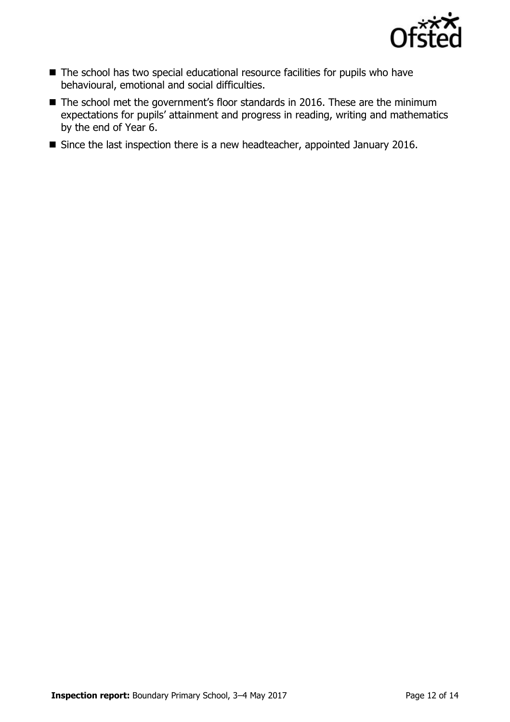

- The school has two special educational resource facilities for pupils who have behavioural, emotional and social difficulties.
- The school met the government's floor standards in 2016. These are the minimum expectations for pupils' attainment and progress in reading, writing and mathematics by the end of Year 6.
- Since the last inspection there is a new headteacher, appointed January 2016.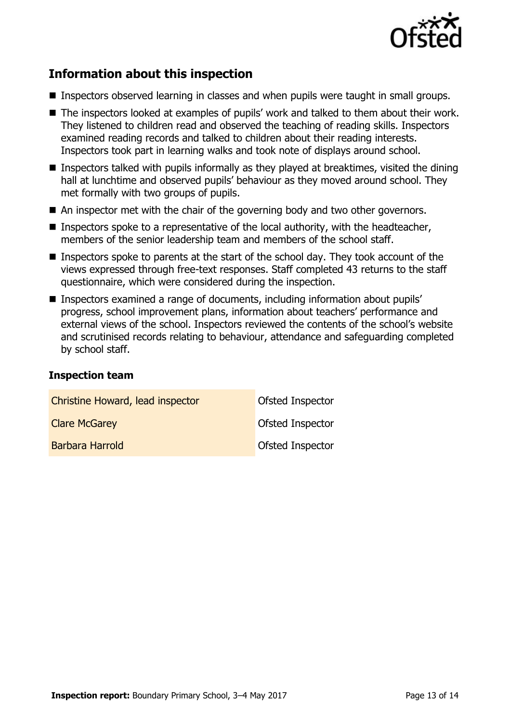

# **Information about this inspection**

- **Inspectors observed learning in classes and when pupils were taught in small groups.**
- The inspectors looked at examples of pupils' work and talked to them about their work. They listened to children read and observed the teaching of reading skills. Inspectors examined reading records and talked to children about their reading interests. Inspectors took part in learning walks and took note of displays around school.
- **Inspectors talked with pupils informally as they played at breaktimes, visited the dining** hall at lunchtime and observed pupils' behaviour as they moved around school. They met formally with two groups of pupils.
- An inspector met with the chair of the governing body and two other governors.
- **Inspectors spoke to a representative of the local authority, with the headteacher,** members of the senior leadership team and members of the school staff.
- Inspectors spoke to parents at the start of the school day. They took account of the views expressed through free-text responses. Staff completed 43 returns to the staff questionnaire, which were considered during the inspection.
- Inspectors examined a range of documents, including information about pupils' progress, school improvement plans, information about teachers' performance and external views of the school. Inspectors reviewed the contents of the school's website and scrutinised records relating to behaviour, attendance and safeguarding completed by school staff.

#### **Inspection team**

| Christine Howard, lead inspector | <b>Ofsted Inspector</b> |
|----------------------------------|-------------------------|
| <b>Clare McGarey</b>             | <b>Ofsted Inspector</b> |
| Barbara Harrold                  | <b>Ofsted Inspector</b> |